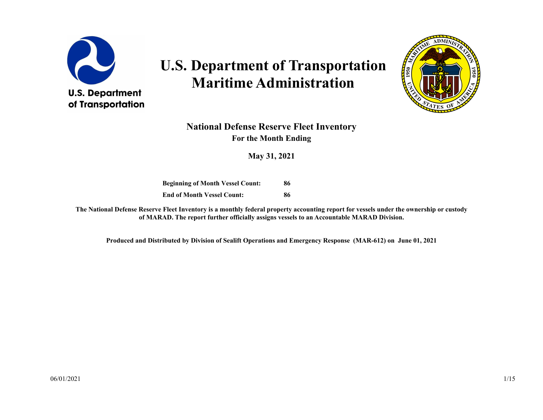

# **U.S. Department of Transportation Maritime Administration**



#### **National Defense Reserve Fleet Inventory For the Month Ending**

**May 31, 2021**

**Beginning of Month Vessel Count: End of Month Vessel Count: 86 86**

**The National Defense Reserve Fleet Inventory is a monthly federal property accounting report for vessels under the ownership or custody of MARAD. The report further officially assigns vessels to an Accountable MARAD Division.**

**Produced and Distributed by Division of Sealift Operations and Emergency Response (MAR-612) on June 01, 2021**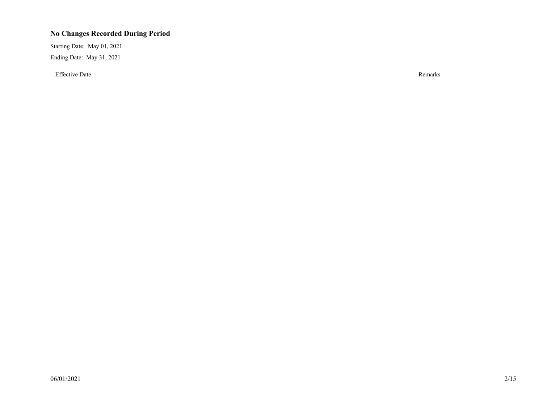#### **No Changes Recorded During Period**

Starting Date: May 01, 2021 Ending Date: May 31, 2021

Effective Date Remarks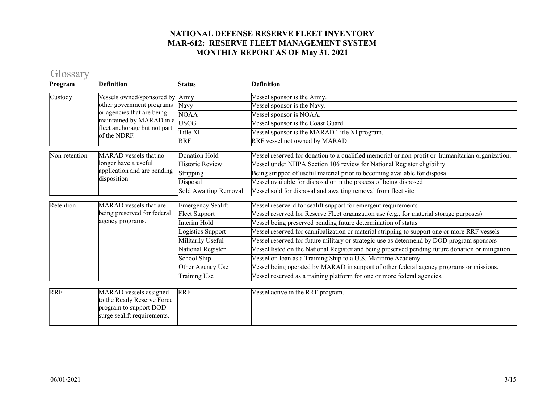# Glossary

| Program       | <b>Definition</b>                                                                                             | <b>Status</b>            | <b>Definition</b>                                                                                |
|---------------|---------------------------------------------------------------------------------------------------------------|--------------------------|--------------------------------------------------------------------------------------------------|
| Custody       | Vessels owned/sponsored by                                                                                    | Army                     | Vessel sponsor is the Army.                                                                      |
|               | other government programs                                                                                     | Navy                     | Vessel sponsor is the Navy.                                                                      |
|               | or agencies that are being                                                                                    | <b>NOAA</b>              | Vessel sponsor is NOAA.                                                                          |
|               | maintained by MARAD in a<br>fleet anchorage but not part                                                      | <b>USCG</b>              | Vessel sponsor is the Coast Guard.                                                               |
|               | of the NDRF.                                                                                                  | Title XI                 | Vessel sponsor is the MARAD Title XI program.                                                    |
|               |                                                                                                               | <b>RRF</b>               | RRF vessel not owned by MARAD                                                                    |
| Non-retention | MARAD vessels that no                                                                                         | <b>Donation Hold</b>     | Vessel reserved for donation to a qualified memorial or non-profit or humanitarian organization. |
|               | longer have a useful                                                                                          | <b>Historic Review</b>   | Vessel under NHPA Section 106 review for National Register eligibility.                          |
|               | application and are pending                                                                                   | Stripping                | Being stripped of useful material prior to becoming available for disposal.                      |
|               | disposition.                                                                                                  | Disposal                 | Vessel available for disposal or in the process of being disposed                                |
|               |                                                                                                               | Sold Awaiting Removal    | Vessel sold for disposal and awaiting removal from fleet site                                    |
| Retention     | MARAD vessels that are                                                                                        | <b>Emergency Sealift</b> | Vessel reserverd for sealift support for emergent requirements                                   |
|               | being preserved for federal                                                                                   | Fleet Support            | Vessel reserved for Reserve Fleet organzation use (e.g., for material storage purposes).         |
|               | agency programs.                                                                                              | Interim Hold             | Vessel being preserved pending future determination of status                                    |
|               |                                                                                                               | ogistics Support         | Vessel reserved for cannibalization or material stripping to support one or more RRF vessels     |
|               |                                                                                                               | Militarily Useful        | Vessel reserved for future military or strategic use as determend by DOD program sponsors        |
|               |                                                                                                               | National Register        | Vessel listed on the National Register and being preserved pending future donation or mitigation |
|               |                                                                                                               | School Ship              | Vessel on loan as a Training Ship to a U.S. Maritime Academy.                                    |
|               |                                                                                                               | Other Agency Use         | Vessel being operated by MARAD in support of other federal agency programs or missions.          |
|               |                                                                                                               | Training Use             | Vessel reserved as a training platform for one or more federal agencies.                         |
|               |                                                                                                               |                          |                                                                                                  |
| <b>RRF</b>    | MARAD vessels assigned<br>to the Ready Reserve Force<br>program to support DOD<br>surge sealift requirements. | <b>RRF</b>               | Vessel active in the RRF program.                                                                |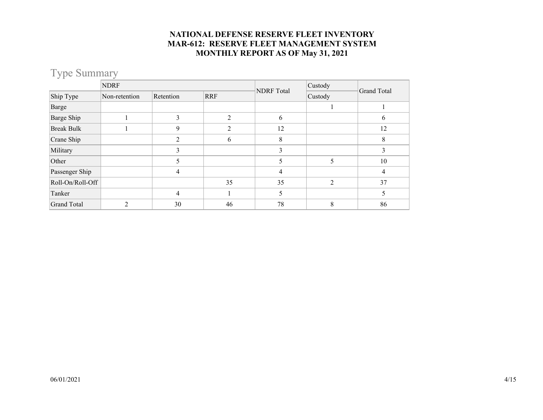# Type Summary

|                    | <b>NDRF</b>    |                |                | <b>NDRF</b> Total | Custody        | Grand Total |  |
|--------------------|----------------|----------------|----------------|-------------------|----------------|-------------|--|
| Ship Type          | Non-retention  | Retention      | <b>RRF</b>     |                   | Custody        |             |  |
| Barge              |                |                |                |                   |                |             |  |
| Barge Ship         |                | 3              | $\overline{2}$ | 6                 |                | 6           |  |
| <b>Break Bulk</b>  |                | 9              | ∍              | 12                |                | 12          |  |
| Crane Ship         |                | $\overline{2}$ | 6              | 8                 |                | 8           |  |
| Military           |                | 3              |                | 3                 |                | 3           |  |
| Other              |                | 5              |                | 5                 | 5              | 10          |  |
| Passenger Ship     |                | 4              |                | 4                 |                | 4           |  |
| Roll-On/Roll-Off   |                |                | 35             | 35                | $\mathfrak{D}$ | 37          |  |
| Tanker             |                | 4              |                | 5                 |                | 5           |  |
| <b>Grand Total</b> | $\mathfrak{D}$ | 30             | 46             | 78                | 8              | 86          |  |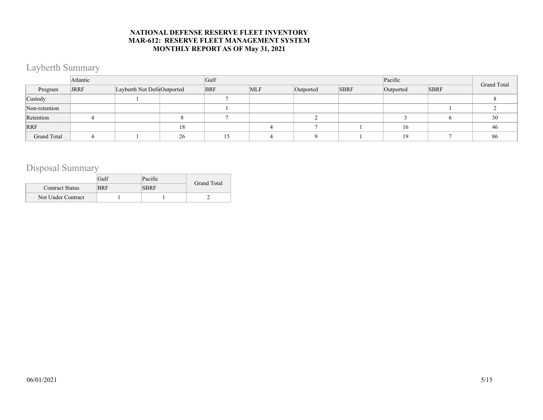### Layberth Summary

|               | Atlantic |                             |    | Gulf       |            |           |             | Pacific   | Grand Total |    |
|---------------|----------|-----------------------------|----|------------|------------|-----------|-------------|-----------|-------------|----|
| Program       | JRRF     | Layberth Not Defi Outported |    | <b>BRF</b> | <b>MLF</b> | Outported | <b>SBRF</b> | Outported | <b>SBRF</b> |    |
| Custody       |          |                             |    |            |            |           |             |           |             |    |
| Non-retention |          |                             |    |            |            |           |             |           |             |    |
| Retention     |          |                             |    |            |            |           |             |           |             | 30 |
| RRF           |          |                             | 18 |            |            |           |             | 16        |             | 46 |
| Grand Total   |          |                             | 26 |            |            | Q         |             | 19        |             | 86 |

### Disposal Summary

|                        | Gulf       | Pacific     | Grand Total |
|------------------------|------------|-------------|-------------|
| <b>Contract Status</b> | <b>BRF</b> | <b>SBRF</b> |             |
| Not Under Contract     |            |             |             |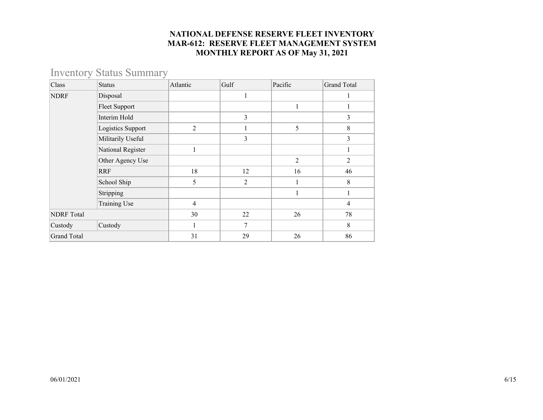### Inventory Status Summary

| Class              | <b>Status</b>     | Atlantic | Gulf | Pacific        | <b>Grand Total</b> |
|--------------------|-------------------|----------|------|----------------|--------------------|
| <b>NDRF</b>        | Disposal          |          | 1    |                | 1                  |
|                    | Fleet Support     |          |      |                |                    |
|                    | Interim Hold      |          | 3    |                | 3                  |
|                    | Logistics Support | 2        |      | 5              | 8                  |
|                    | Militarily Useful |          | 3    |                | 3                  |
|                    | National Register |          |      |                | 1                  |
|                    | Other Agency Use  |          |      | $\overline{2}$ | $\overline{2}$     |
|                    | <b>RRF</b>        | 18       | 12   | 16             | 46                 |
|                    | School Ship       | 5        | 2    |                | 8                  |
|                    | Stripping         |          |      |                |                    |
|                    | Training Use      | 4        |      |                | $\overline{4}$     |
| <b>NDRF</b> Total  |                   | 30       | 22   | 26             | 78                 |
| Custody            | Custody           |          | 7    |                | 8                  |
| <b>Grand Total</b> |                   | 31       | 29   | 26             | 86                 |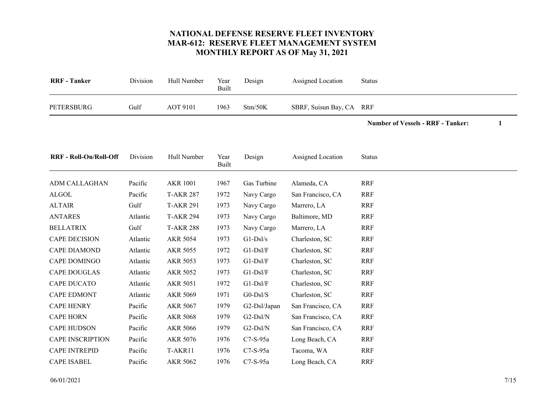<span id="page-6-17"></span>

| <b>RRF</b> - Tanker | Division | Hull Number     | Year<br>Built | Design  | Assigned Location        | Status |
|---------------------|----------|-----------------|---------------|---------|--------------------------|--------|
| PETERSBURG          | Gulf     | <b>AOT 9101</b> | 1963          | Stm/50K | SBRF, Suisun Bay, CA RRF |        |
|                     |          |                 |               |         |                          |        |

**Number of Vessels - RRF - Tanker: 1**

<span id="page-6-16"></span><span id="page-6-15"></span><span id="page-6-14"></span><span id="page-6-13"></span><span id="page-6-12"></span><span id="page-6-11"></span><span id="page-6-10"></span><span id="page-6-9"></span><span id="page-6-8"></span><span id="page-6-7"></span><span id="page-6-6"></span><span id="page-6-5"></span><span id="page-6-4"></span><span id="page-6-3"></span><span id="page-6-2"></span><span id="page-6-1"></span><span id="page-6-0"></span>

| <b>RRF - Roll-On/Roll-Off</b> | Division | Hull Number      | Year<br>Built | Design       | Assigned Location | Status     |  |
|-------------------------------|----------|------------------|---------------|--------------|-------------------|------------|--|
| ADM CALLAGHAN                 | Pacific  | <b>AKR 1001</b>  | 1967          | Gas Turbine  | Alameda, CA       | <b>RRF</b> |  |
| <b>ALGOL</b>                  | Pacific  | <b>T-AKR 287</b> | 1972          | Navy Cargo   | San Francisco, CA | <b>RRF</b> |  |
| <b>ALTAIR</b>                 | Gulf     | <b>T-AKR 291</b> | 1973          | Navy Cargo   | Marrero, LA       | <b>RRF</b> |  |
| <b>ANTARES</b>                | Atlantic | <b>T-AKR 294</b> | 1973          | Navy Cargo   | Baltimore, MD     | <b>RRF</b> |  |
| <b>BELLATRIX</b>              | Gulf     | <b>T-AKR 288</b> | 1973          | Navy Cargo   | Marrero, LA       | <b>RRF</b> |  |
| <b>CAPE DECISION</b>          | Atlantic | <b>AKR 5054</b>  | 1973          | $G1-Ds1/s$   | Charleston, SC    | <b>RRF</b> |  |
| CAPE DIAMOND                  | Atlantic | AKR 5055         | 1972          | $G1-Ds1/F$   | Charleston, SC    | <b>RRF</b> |  |
| CAPE DOMINGO                  | Atlantic | AKR 5053         | 1973          | $G1-Ds1/F$   | Charleston, SC    | <b>RRF</b> |  |
| <b>CAPE DOUGLAS</b>           | Atlantic | AKR 5052         | 1973          | $G1-Ds1/F$   | Charleston, SC    | <b>RRF</b> |  |
| CAPE DUCATO                   | Atlantic | <b>AKR 5051</b>  | 1972          | $G1-Ds1/F$   | Charleston, SC    | <b>RRF</b> |  |
| <b>CAPE EDMONT</b>            | Atlantic | <b>AKR 5069</b>  | 1971          | $G0$ -Dsl/S  | Charleston, SC    | <b>RRF</b> |  |
| <b>CAPE HENRY</b>             | Pacific  | <b>AKR 5067</b>  | 1979          | G2-Dsl/Japan | San Francisco, CA | <b>RRF</b> |  |
| <b>CAPE HORN</b>              | Pacific  | <b>AKR 5068</b>  | 1979          | $G2-Ds1/N$   | San Francisco, CA | <b>RRF</b> |  |
| <b>CAPE HUDSON</b>            | Pacific  | <b>AKR 5066</b>  | 1979          | $G2-Dsl/N$   | San Francisco, CA | <b>RRF</b> |  |
| <b>CAPE INSCRIPTION</b>       | Pacific  | <b>AKR 5076</b>  | 1976          | $C7-S-95a$   | Long Beach, CA    | <b>RRF</b> |  |
| <b>CAPE INTREPID</b>          | Pacific  | T-AKR11          | 1976          | $C7-S-95a$   | Tacoma, WA        | <b>RRF</b> |  |
| <b>CAPE ISABEL</b>            | Pacific  | AKR 5062         | 1976          | $C7-S-95a$   | Long Beach, CA    | <b>RRF</b> |  |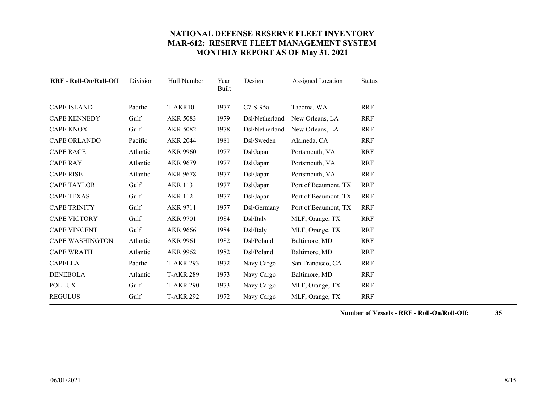<span id="page-7-17"></span><span id="page-7-16"></span><span id="page-7-15"></span><span id="page-7-14"></span><span id="page-7-13"></span><span id="page-7-12"></span><span id="page-7-11"></span><span id="page-7-10"></span><span id="page-7-9"></span><span id="page-7-8"></span><span id="page-7-7"></span><span id="page-7-6"></span><span id="page-7-5"></span><span id="page-7-4"></span><span id="page-7-3"></span><span id="page-7-2"></span><span id="page-7-1"></span><span id="page-7-0"></span>

| <b>RRF</b> - Roll-On/Roll-Off | Division | Hull Number      | Year<br>Built | Design         | Assigned Location    | <b>Status</b> |
|-------------------------------|----------|------------------|---------------|----------------|----------------------|---------------|
| <b>CAPE ISLAND</b>            | Pacific  | T-AKR10          | 1977          | $C7-S-95a$     | Tacoma, WA           | <b>RRF</b>    |
| CAPE KENNEDY                  | Gulf     | AKR 5083         | 1979          | Dsl/Netherland | New Orleans, LA      | <b>RRF</b>    |
| <b>CAPE KNOX</b>              | Gulf     | <b>AKR 5082</b>  | 1978          | Dsl/Netherland | New Orleans, LA      | <b>RRF</b>    |
| <b>CAPE ORLANDO</b>           | Pacific  | <b>AKR 2044</b>  | 1981          | Dsl/Sweden     | Alameda, CA          | <b>RRF</b>    |
| <b>CAPE RACE</b>              | Atlantic | <b>AKR 9960</b>  | 1977          | Dsl/Japan      | Portsmouth, VA       | <b>RRF</b>    |
| <b>CAPE RAY</b>               | Atlantic | AKR 9679         | 1977          | Dsl/Japan      | Portsmouth, VA       | <b>RRF</b>    |
| <b>CAPE RISE</b>              | Atlantic | AKR 9678         | 1977          | Dsl/Japan      | Portsmouth, VA       | <b>RRF</b>    |
| <b>CAPE TAYLOR</b>            | Gulf     | <b>AKR 113</b>   | 1977          | Dsl/Japan      | Port of Beaumont, TX | <b>RRF</b>    |
| <b>CAPE TEXAS</b>             | Gulf     | <b>AKR 112</b>   | 1977          | Dsl/Japan      | Port of Beaumont, TX | <b>RRF</b>    |
| <b>CAPE TRINITY</b>           | Gulf     | <b>AKR 9711</b>  | 1977          | Dsl/Germany    | Port of Beaumont, TX | <b>RRF</b>    |
| <b>CAPE VICTORY</b>           | Gulf     | <b>AKR 9701</b>  | 1984          | Dsl/Italy      | MLF, Orange, TX      | <b>RRF</b>    |
| <b>CAPE VINCENT</b>           | Gulf     | <b>AKR 9666</b>  | 1984          | Dsl/Italy      | MLF, Orange, TX      | <b>RRF</b>    |
| <b>CAPE WASHINGTON</b>        | Atlantic | AKR 9961         | 1982          | Dsl/Poland     | Baltimore, MD        | <b>RRF</b>    |
| <b>CAPE WRATH</b>             | Atlantic | AKR 9962         | 1982          | Dsl/Poland     | Baltimore, MD        | <b>RRF</b>    |
| <b>CAPELLA</b>                | Pacific  | <b>T-AKR 293</b> | 1972          | Navy Cargo     | San Francisco, CA    | <b>RRF</b>    |
| <b>DENEBOLA</b>               | Atlantic | <b>T-AKR 289</b> | 1973          | Navy Cargo     | Baltimore, MD        | <b>RRF</b>    |
| <b>POLLUX</b>                 | Gulf     | <b>T-AKR 290</b> | 1973          | Navy Cargo     | MLF, Orange, TX      | <b>RRF</b>    |
| <b>REGULUS</b>                | Gulf     | <b>T-AKR 292</b> | 1972          | Navy Cargo     | MLF, Orange, TX      | <b>RRF</b>    |

**Number of Vessels - RRF - Roll-On/Roll-Off: 35**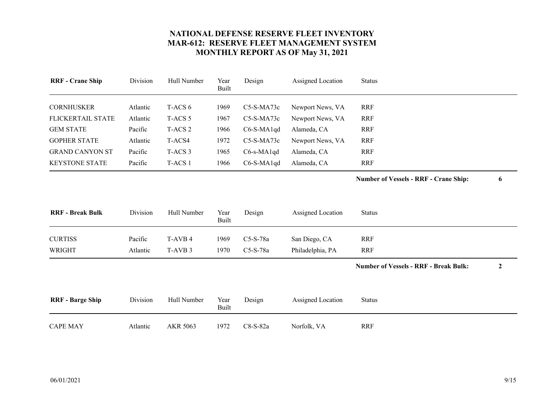<span id="page-8-8"></span><span id="page-8-7"></span><span id="page-8-6"></span><span id="page-8-5"></span><span id="page-8-4"></span><span id="page-8-3"></span><span id="page-8-2"></span><span id="page-8-1"></span><span id="page-8-0"></span>

| <b>RRF</b> - Crane Ship | Division | Hull Number        | Year<br><b>Built</b> | Design       | Assigned Location | <b>Status</b>                                |                  |
|-------------------------|----------|--------------------|----------------------|--------------|-------------------|----------------------------------------------|------------------|
| <b>CORNHUSKER</b>       | Atlantic | T-ACS 6            | 1969                 | C5-S-MA73c   | Newport News, VA  | <b>RRF</b>                                   |                  |
| FLICKERTAIL STATE       | Atlantic | T-ACS <sub>5</sub> | 1967                 | C5-S-MA73c   | Newport News, VA  | <b>RRF</b>                                   |                  |
| <b>GEM STATE</b>        | Pacific  | T-ACS <sub>2</sub> | 1966                 | $C6-S-MA1qd$ | Alameda, CA       | <b>RRF</b>                                   |                  |
| <b>GOPHER STATE</b>     | Atlantic | T-ACS4             | 1972                 | $C5-S-MA73c$ | Newport News, VA  | <b>RRF</b>                                   |                  |
| <b>GRAND CANYON ST</b>  | Pacific  | T-ACS <sub>3</sub> | 1965                 | C6-s-MA1qd   | Alameda, CA       | <b>RRF</b>                                   |                  |
| <b>KEYSTONE STATE</b>   | Pacific  | T-ACS 1            | 1966                 | C6-S-MA1qd   | Alameda, CA       | <b>RRF</b>                                   |                  |
|                         |          |                    |                      |              |                   | <b>Number of Vessels - RRF - Crane Ship:</b> | 6                |
| <b>RRF</b> - Break Bulk | Division | Hull Number        | Year<br>Built        | Design       | Assigned Location | <b>Status</b>                                |                  |
| <b>CURTISS</b>          | Pacific  | T-AVB 4            | 1969                 | C5-S-78a     | San Diego, CA     | <b>RRF</b>                                   |                  |
| <b>WRIGHT</b>           | Atlantic | T-AVB <sub>3</sub> | 1970                 | C5-S-78a     | Philadelphia, PA  | <b>RRF</b>                                   |                  |
|                         |          |                    |                      |              |                   | <b>Number of Vessels - RRF - Break Bulk:</b> | $\boldsymbol{2}$ |
| <b>RRF</b> - Barge Ship | Division | Hull Number        | Year<br>Built        | Design       | Assigned Location | <b>Status</b>                                |                  |
| <b>CAPE MAY</b>         | Atlantic | AKR 5063           | 1972                 | C8-S-82a     | Norfolk, VA       | <b>RRF</b>                                   |                  |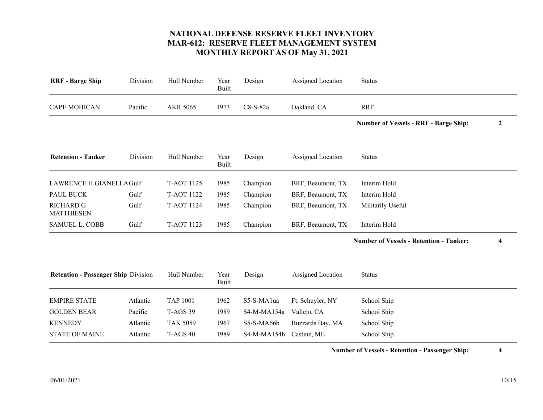<span id="page-9-8"></span><span id="page-9-7"></span><span id="page-9-6"></span><span id="page-9-5"></span><span id="page-9-4"></span><span id="page-9-3"></span><span id="page-9-2"></span><span id="page-9-1"></span><span id="page-9-0"></span>

| Division                                   | Hull Number       | Year<br><b>Built</b> | Design      | Assigned Location | <b>Status</b>                                  |                  |
|--------------------------------------------|-------------------|----------------------|-------------|-------------------|------------------------------------------------|------------------|
| Pacific                                    | AKR 5065          | 1973                 | C8-S-82a    | Oakland, CA       | <b>RRF</b>                                     |                  |
|                                            |                   |                      |             |                   | <b>Number of Vessels - RRF - Barge Ship:</b>   | $\boldsymbol{2}$ |
| Division                                   | Hull Number       | Year<br><b>Built</b> | Design      | Assigned Location | <b>Status</b>                                  |                  |
| LAWRENCE H GIANELLA Gulf                   | <b>T-AOT 1125</b> | 1985                 | Champion    | BRF, Beaumont, TX | Interim Hold                                   |                  |
| Gulf                                       | <b>T-AOT 1122</b> | 1985                 | Champion    | BRF, Beaumont, TX | Interim Hold                                   |                  |
| Gulf                                       | <b>T-AOT 1124</b> | 1985                 | Champion    | BRF, Beaumont, TX | Militarily Useful                              |                  |
| Gulf                                       | T-AOT 1123        | 1985                 | Champion    | BRF, Beaumont, TX | Interim Hold                                   |                  |
|                                            |                   |                      |             |                   | <b>Number of Vessels - Retention - Tanker:</b> | 4                |
| <b>Retention - Passenger Ship Division</b> | Hull Number       | Year<br><b>Built</b> | Design      | Assigned Location | <b>Status</b>                                  |                  |
| Atlantic                                   | <b>TAP 1001</b>   | 1962                 | S5-S-MA1ua  | Ft. Schuyler, NY  | School Ship                                    |                  |
| Pacific                                    | <b>T-AGS 39</b>   | 1989                 | S4-M-MA154a | Vallejo, CA       | School Ship                                    |                  |
| Atlantic                                   | <b>TAK 5059</b>   | 1967                 | S5-S-MA66b  | Buzzards Bay, MA  | School Ship                                    |                  |
| Atlantic                                   | <b>T-AGS 40</b>   | 1989                 | S4-M-MA154b | Castine, ME       | School Ship                                    |                  |
|                                            |                   |                      |             |                   |                                                |                  |

**Number of Vessels - Retention - Passenger Ship: 4**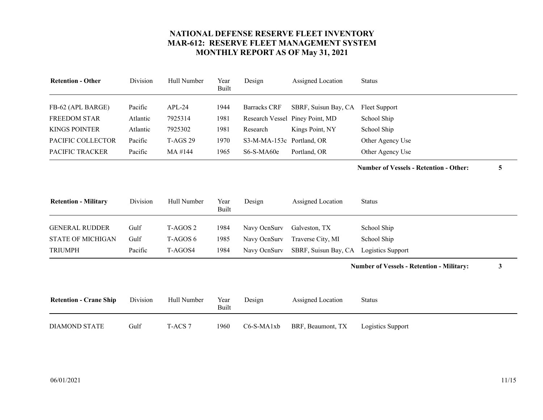<span id="page-10-4"></span><span id="page-10-2"></span><span id="page-10-1"></span>

| <b>Retention - Other</b> | Division | Hull Number     | Year<br>Built | Design                    | Assigned Location               | <b>Status</b>    |
|--------------------------|----------|-----------------|---------------|---------------------------|---------------------------------|------------------|
|                          |          |                 |               |                           |                                 |                  |
| FB-62 (APL BARGE)        | Pacific  | $APL-24$        | 1944          | <b>Barracks CRF</b>       | SBRF, Suisun Bay, CA            | Fleet Support    |
| <b>FREEDOM STAR</b>      | Atlantic | 7925314         | 1981          |                           | Research Vessel Piney Point, MD | School Ship      |
| <b>KINGS POINTER</b>     | Atlantic | 7925302         | 1981          | Research                  | Kings Point, NY                 | School Ship      |
| PACIFIC COLLECTOR        | Pacific  | <b>T-AGS 29</b> | 1970          | S3-M-MA-153c Portland, OR |                                 | Other Agency Use |
| <b>PACIFIC TRACKER</b>   | Pacific  | MA #144         | 1965          | $S6-S-MA60e$              | Portland, OR                    | Other Agency Use |

**Number of Vessels - Retention - Other: 5**

<span id="page-10-8"></span><span id="page-10-7"></span><span id="page-10-6"></span><span id="page-10-5"></span><span id="page-10-3"></span>

| <b>Retention - Military</b> | Division | Hull Number | Year<br>Built | Design       | Assigned Location                      | <b>Status</b> |
|-----------------------------|----------|-------------|---------------|--------------|----------------------------------------|---------------|
| <b>GENERAL RUDDER</b>       | Gulf     | T-AGOS 2    | 1984          | Navy OcnSury | Galveston, TX                          | School Ship   |
| <b>STATE OF MICHIGAN</b>    | Gulf     | T-AGOS 6    | 1985          | Navy OcnSury | Traverse City, MI                      | School Ship   |
| <b>TRIUMPH</b>              | Pacific  | T-AGOS4     | 1984          | Navy OcnSury | SBRF, Suisun Bay, CA Logistics Support |               |

**Number of Vessels - Retention - Military: 3**

<span id="page-10-0"></span>

| <b>Retention - Crane Ship</b> | Division | Hull Number | Year<br>Built | Design     | Assigned Location | Status            |
|-------------------------------|----------|-------------|---------------|------------|-------------------|-------------------|
| DIAMOND STATE                 | Gulf     | T-ACS 7     | 1960          | C6-S-MA1xb | BRF, Beaumont, TX | Logistics Support |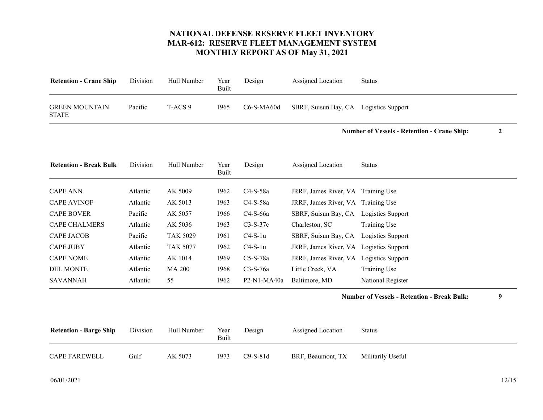<span id="page-11-9"></span><span id="page-11-1"></span><span id="page-11-0"></span>

| <b>Retention - Crane Ship</b>         | Division | Hull Number        | Year<br>Built        | Design       | Assigned Location                       | <b>Status</b>                                                          |  |
|---------------------------------------|----------|--------------------|----------------------|--------------|-----------------------------------------|------------------------------------------------------------------------|--|
| <b>GREEN MOUNTAIN</b><br><b>STATE</b> | Pacific  | T-ACS <sub>9</sub> | 1965                 | $C6-S-MA60d$ | SBRF, Suisun Bay, CA Logistics Support  |                                                                        |  |
|                                       |          |                    |                      |              |                                         | <b>Number of Vessels - Retention - Crane Ship:</b><br>$\boldsymbol{2}$ |  |
| <b>Retention - Break Bulk</b>         | Division | Hull Number        | Year<br><b>Built</b> | Design       | Assigned Location                       | <b>Status</b>                                                          |  |
| <b>CAPE ANN</b>                       | Atlantic | AK 5009            | 1962                 | $C4-S-58a$   | JRRF, James River, VA Training Use      |                                                                        |  |
| <b>CAPE AVINOF</b>                    | Atlantic | AK 5013            | 1963                 | $C4-S-58a$   | JRRF, James River, VA Training Use      |                                                                        |  |
| <b>CAPE BOVER</b>                     | Pacific  | AK 5057            | 1966                 | C4-S-66a     | SBRF, Suisun Bay, CA Logistics Support  |                                                                        |  |
| <b>CAPE CHALMERS</b>                  | Atlantic | AK 5036            | 1963                 | $C3-S-37c$   | Charleston, SC                          | Training Use                                                           |  |
| <b>CAPE JACOB</b>                     | Pacific  | <b>TAK 5029</b>    | 1961                 | $C4-S-1u$    | SBRF, Suisun Bay, CA                    | Logistics Support                                                      |  |
| <b>CAPE JUBY</b>                      | Atlantic | <b>TAK 5077</b>    | 1962                 | $C4-S-1u$    | JRRF, James River, VA Logistics Support |                                                                        |  |
| <b>CAPE NOME</b>                      | Atlantic | AK 1014            | 1969                 | $C5-S-78a$   | JRRF, James River, VA Logistics Support |                                                                        |  |
| <b>DEL MONTE</b>                      | Atlantic | <b>MA 200</b>      | 1968                 | $C3-S-76a$   | Little Creek, VA                        | Training Use                                                           |  |
| <b>SAVANNAH</b>                       | Atlantic | 55                 | 1962                 | P2-N1-MA40a  | Baltimore, MD                           | National Register                                                      |  |
|                                       |          |                    |                      |              |                                         | 9<br><b>Number of Vessels - Retention - Break Bulk:</b>                |  |

<span id="page-11-10"></span><span id="page-11-8"></span><span id="page-11-7"></span><span id="page-11-6"></span><span id="page-11-5"></span><span id="page-11-4"></span><span id="page-11-3"></span><span id="page-11-2"></span>

| <b>Retention - Barge Ship</b> | Division | Hull Number | Year<br>Built | Design     | Assigned Location | Status            |
|-------------------------------|----------|-------------|---------------|------------|-------------------|-------------------|
| <b>CAPE FAREWELL</b>          | Gulf     | AK 5073     | 1973          | $C9-S-81d$ | BRF, Beaumont, TX | Militarily Useful |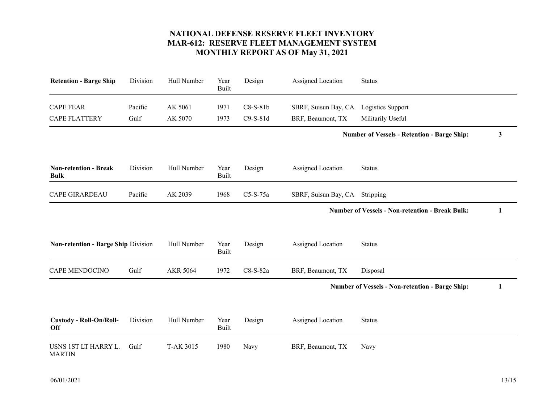<span id="page-12-4"></span><span id="page-12-3"></span><span id="page-12-2"></span><span id="page-12-1"></span><span id="page-12-0"></span>

| <b>Retention - Barge Ship</b>                | Division        | Hull Number        | Year<br><b>Built</b> | Design                   | Assigned Location                         | <b>Status</b>                                          |   |
|----------------------------------------------|-----------------|--------------------|----------------------|--------------------------|-------------------------------------------|--------------------------------------------------------|---|
| <b>CAPE FEAR</b><br><b>CAPE FLATTERY</b>     | Pacific<br>Gulf | AK 5061<br>AK 5070 | 1971<br>1973         | $C8-S-81b$<br>$C9-S-81d$ | SBRF, Suisun Bay, CA<br>BRF, Beaumont, TX | Logistics Support<br>Militarily Useful                 |   |
|                                              |                 |                    |                      |                          |                                           | <b>Number of Vessels - Retention - Barge Ship:</b>     | 3 |
| <b>Non-retention - Break</b><br><b>Bulk</b>  | Division        | Hull Number        | Year<br><b>Built</b> | Design                   | Assigned Location                         | <b>Status</b>                                          |   |
| <b>CAPE GIRARDEAU</b>                        | Pacific         | AK 2039            | 1968                 | $C5-S-75a$               | SBRF, Suisun Bay, CA                      | Stripping                                              |   |
|                                              |                 |                    |                      |                          |                                           | <b>Number of Vessels - Non-retention - Break Bulk:</b> | 1 |
| Non-retention - Barge Ship Division          |                 | Hull Number        | Year<br><b>Built</b> | Design                   | Assigned Location                         | <b>Status</b>                                          |   |
| <b>CAPE MENDOCINO</b>                        | Gulf            | <b>AKR 5064</b>    | 1972                 | $C8-S-82a$               | BRF, Beaumont, TX                         | Disposal                                               |   |
|                                              |                 |                    |                      |                          |                                           | <b>Number of Vessels - Non-retention - Barge Ship:</b> | 1 |
| <b>Custody - Roll-On/Roll-</b><br><b>Off</b> | Division        | Hull Number        | Year<br>Built        | Design                   | Assigned Location                         | <b>Status</b>                                          |   |
| USNS 1ST LT HARRY L.<br><b>MARTIN</b>        | Gulf            | T-AK 3015          | 1980                 | Navy                     | BRF, Beaumont, TX                         | Navy                                                   |   |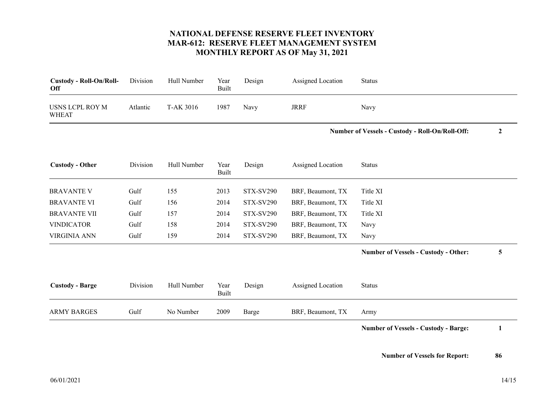<span id="page-13-6"></span><span id="page-13-5"></span><span id="page-13-4"></span><span id="page-13-3"></span><span id="page-13-2"></span><span id="page-13-1"></span><span id="page-13-0"></span>

| <b>Custody - Roll-On/Roll-</b><br>Off  | Division | Hull Number | Year<br><b>Built</b> | Design           | Assigned Location | <b>Status</b>                                   |                  |
|----------------------------------------|----------|-------------|----------------------|------------------|-------------------|-------------------------------------------------|------------------|
| <b>USNS LCPL ROY M</b><br><b>WHEAT</b> | Atlantic | T-AK 3016   | 1987                 | Navy             | <b>JRRF</b>       | Navy                                            |                  |
|                                        |          |             |                      |                  |                   | Number of Vessels - Custody - Roll-On/Roll-Off: | $\boldsymbol{2}$ |
| <b>Custody - Other</b>                 | Division | Hull Number | Year<br><b>Built</b> | Design           | Assigned Location | <b>Status</b>                                   |                  |
| <b>BRAVANTE V</b>                      | Gulf     | 155         | 2013                 | <b>STX-SV290</b> | BRF, Beaumont, TX | Title XI                                        |                  |
| <b>BRAVANTE VI</b>                     | Gulf     | 156         | 2014                 | <b>STX-SV290</b> | BRF, Beaumont, TX | Title XI                                        |                  |
| <b>BRAVANTE VII</b>                    | Gulf     | 157         | 2014                 | <b>STX-SV290</b> | BRF, Beaumont, TX | Title XI                                        |                  |
| <b>VINDICATOR</b>                      | Gulf     | 158         | 2014                 | <b>STX-SV290</b> | BRF, Beaumont, TX | Navy                                            |                  |
| <b>VIRGINIA ANN</b>                    | Gulf     | 159         | 2014                 | <b>STX-SV290</b> | BRF, Beaumont, TX | Navy                                            |                  |
|                                        |          |             |                      |                  |                   | <b>Number of Vessels - Custody - Other:</b>     | 5                |
| <b>Custody - Barge</b>                 | Division | Hull Number | Year<br>Built        | Design           | Assigned Location | <b>Status</b>                                   |                  |
| <b>ARMY BARGES</b>                     | Gulf     | No Number   | 2009                 | Barge            | BRF, Beaumont, TX | Army                                            |                  |
|                                        |          |             |                      |                  |                   | <b>Number of Vessels - Custody - Barge:</b>     | 1                |
|                                        |          |             |                      |                  |                   |                                                 |                  |

**Number of Vessels for Report: 86**